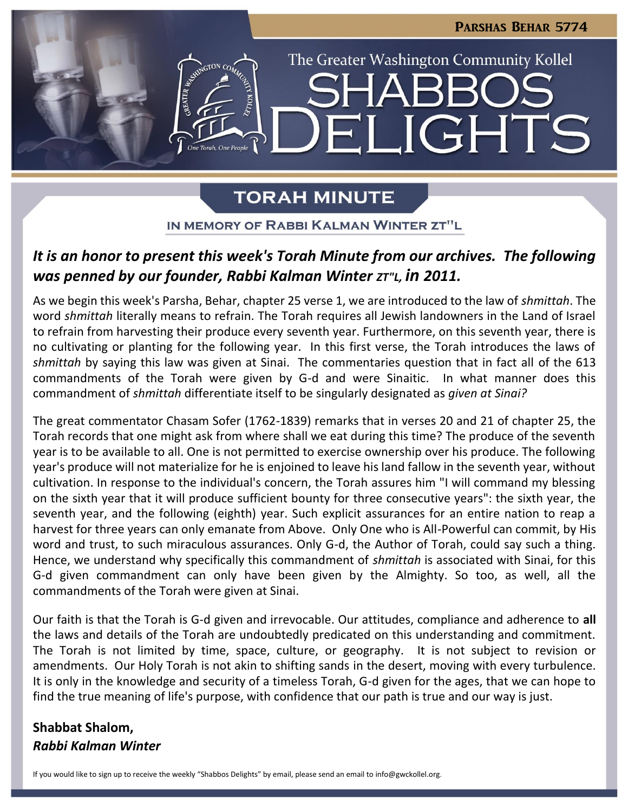

# **TORAH MINUTE**

IN MEMORY OF RABBI KALMAN WINTER ZT"L

# *It is an honor to present this week's Torah Minute from our archives. The following was penned by our founder, Rabbi Kalman Winter*  $ZT''L$ *, in 2011.*

As we begin this week's Parsha, Behar, chapter 25 verse 1, we are introduced to the law of *shmittah*. The word *shmittah* literally means to refrain. The Torah requires all Jewish landowners in the Land of Israel to refrain from harvesting their produce every seventh year. Furthermore, on this seventh year, there is no cultivating or planting for the following year. In this first verse, the Torah introduces the laws of *shmittah* by saying this law was given at Sinai. The commentaries question that in fact all of the 613 commandments of the Torah were given by G-d and were Sinaitic. In what manner does this commandment of *shmittah* differentiate itself to be singularly designated as *given at Sinai?*

The great commentator Chasam Sofer (1762-1839) remarks that in verses 20 and 21 of chapter 25, the Torah records that one might ask from where shall we eat during this time? The produce of the seventh year is to be available to all. One is not permitted to exercise ownership over his produce. The following year's produce will not materialize for he is enjoined to leave his land fallow in the seventh year, without cultivation. In response to the individual's concern, the Torah assures him "I will command my blessing on the sixth year that it will produce sufficient bounty for three consecutive years": the sixth year, the seventh year, and the following (eighth) year. Such explicit assurances for an entire nation to reap a harvest for three years can only emanate from Above. Only One who is All-Powerful can commit, by His word and trust, to such miraculous assurances. Only G-d, the Author of Torah, could say such a thing. Hence, we understand why specifically this commandment of *shmittah* is associated with Sinai, for this G-d given commandment can only have been given by the Almighty. So too, as well, all the commandments of the Torah were given at Sinai.

Our faith is that the Torah is G-d given and irrevocable. Our attitudes, compliance and adherence to **all** the laws and details of the Torah are undoubtedly predicated on this understanding and commitment. The Torah is not limited by time, space, culture, or geography. It is not subject to revision or amendments. Our Holy Torah is not akin to shifting sands in the desert, moving with every turbulence. It is only in the knowledge and security of a timeless Torah, G-d given for the ages, that we can hope to find the true meaning of life's purpose, with confidence that our path is true and our way is just.

# **Shabbat Shalom,** *Rabbi Kalman Winter*